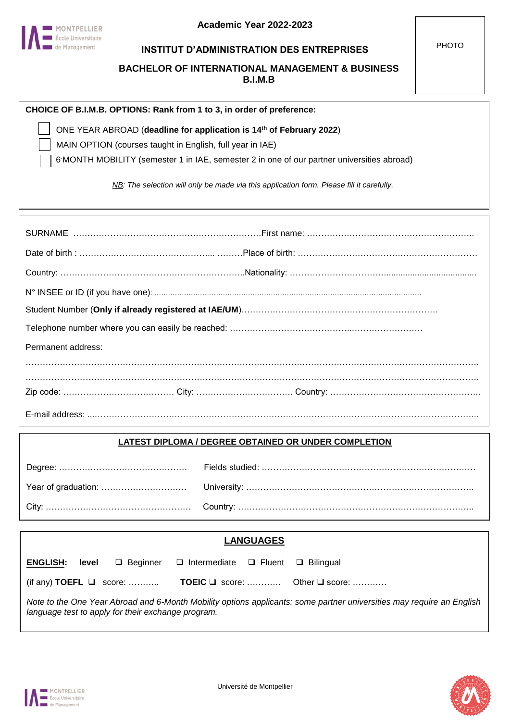

MONTPELLIER **Example 2** École Universitaire de Management

#### **INSTITUT D'ADMINISTRATION DES ENTREPRISES**

**BACHELOR OF INTERNATIONAL MANAGEMENT & BUSINESS B.I.M.B**

| CHOICE OF B.I.M.B. OPTIONS: Rank from 1 to 3, in order of preference:                   |  |
|-----------------------------------------------------------------------------------------|--|
| $\vert$ ONE YEAR ABROAD (deadline for application is 14 <sup>th</sup> of February 2022) |  |
| $\Box$ MAIN OPTION (c) see to state Feedback (i) see the R                              |  |

MAIN OPTION (courses taught in English, full year in IAE)

6 -MONTH MOBILITY (semester 1 in IAE, semester 2 in one of our partner universities abroad)

*NB: The selection will only be made via this application form. Please fill it carefully.*

| Permanent address: |  |
|--------------------|--|
|                    |  |
|                    |  |
|                    |  |

#### **LATEST DIPLOMA / DEGREE OBTAINED OR UNDER COMPLETION**

|                                                                                                                                                                             | <b>LANGUAGES</b> |                                     |                                                    |  |                                                 |
|-----------------------------------------------------------------------------------------------------------------------------------------------------------------------------|------------------|-------------------------------------|----------------------------------------------------|--|-------------------------------------------------|
| <b>ENGLISH:</b>                                                                                                                                                             | level            | $\Box$ Beginner                     | $\Box$ Intermediate $\Box$ Fluent $\Box$ Bilingual |  |                                                 |
|                                                                                                                                                                             |                  | (if any) <b>TOEFL</b> $\Box$ score: |                                                    |  | <b>TOEIC</b> $\Box$ score:  Other $\Box$ score: |
| Note to the One Year Abroad and 6-Month Mobility options applicants: some partner universities may require an English<br>language test to apply for their exchange program. |                  |                                     |                                                    |  |                                                 |

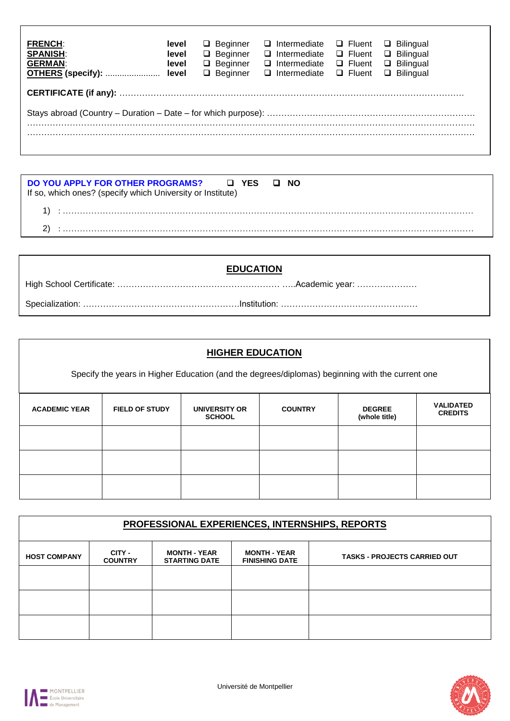| <b>FRENCH:</b><br><b>SPANISH:</b><br><b>GERMAN:</b> | level<br>level<br>level | $\Box$ Beginner<br>$\Box$ Beginner<br>$\Box$ Beginner<br>$\Box$ Beginner | $\Box$ Intermediate<br>$\Box$ Intermediate<br>$\Box$ Intermediate<br>□ Intermediate □ Fluent | □ Fluent<br>$\Box$ Fluent<br>$\Box$ Fluent | $\Box$ Bilingual<br>$\Box$ Bilingual<br>$\Box$ Bilingual<br>□ Bilingual |  |
|-----------------------------------------------------|-------------------------|--------------------------------------------------------------------------|----------------------------------------------------------------------------------------------|--------------------------------------------|-------------------------------------------------------------------------|--|
|                                                     |                         |                                                                          |                                                                                              |                                            |                                                                         |  |
|                                                     |                         |                                                                          |                                                                                              |                                            |                                                                         |  |
|                                                     |                         |                                                                          |                                                                                              |                                            |                                                                         |  |

| DO YOU APPLY FOR OTHER PROGRAMS? □ YES □ NO<br>If so, which ones? (specify which University or Institute) |  |
|-----------------------------------------------------------------------------------------------------------|--|
|                                                                                                           |  |
|                                                                                                           |  |

| <b>EDUCATION</b> |
|------------------|
|                  |
|                  |

| <b>HIGHER EDUCATION</b> |                                                                                                 |                                |                |                                |                                    |
|-------------------------|-------------------------------------------------------------------------------------------------|--------------------------------|----------------|--------------------------------|------------------------------------|
|                         | Specify the years in Higher Education (and the degrees/diplomas) beginning with the current one |                                |                |                                |                                    |
| <b>ACADEMIC YEAR</b>    | <b>FIELD OF STUDY</b>                                                                           | UNIVERSITY OR<br><b>SCHOOL</b> | <b>COUNTRY</b> | <b>DEGREE</b><br>(whole title) | <b>VALIDATED</b><br><b>CREDITS</b> |
|                         |                                                                                                 |                                |                |                                |                                    |
|                         |                                                                                                 |                                |                |                                |                                    |
|                         |                                                                                                 |                                |                |                                |                                    |

| PROFESSIONAL EXPERIENCES, INTERNSHIPS, REPORTS |                          |                                             |                                              |                                     |  |
|------------------------------------------------|--------------------------|---------------------------------------------|----------------------------------------------|-------------------------------------|--|
| <b>HOST COMPANY</b>                            | CITY -<br><b>COUNTRY</b> | <b>MONTH - YEAR</b><br><b>STARTING DATE</b> | <b>MONTH - YEAR</b><br><b>FINISHING DATE</b> | <b>TASKS - PROJECTS CARRIED OUT</b> |  |
|                                                |                          |                                             |                                              |                                     |  |
|                                                |                          |                                             |                                              |                                     |  |
|                                                |                          |                                             |                                              |                                     |  |



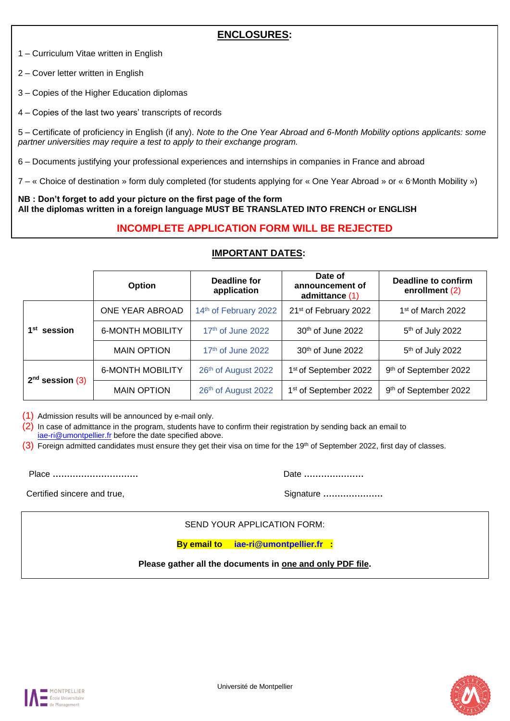# **ENCLOSURES:**

1 – Curriculum Vitae written in English

2 – Cover letter written in English

3 – Copies of the Higher Education diplomas

4 – Copies of the last two years' transcripts of records

5 – Certificate of proficiency in English (if any). *Note to the One Year Abroad and 6-Month Mobility options applicants: some partner universities may require a test to apply to their exchange program.*

6 – Documents justifying your professional experiences and internships in companies in France and abroad

7 – « Choice of destination » form duly completed (for students applying for « One Year Abroad » or « 6 Month Mobility »)

**NB : Don't forget to add your picture on the first page of the form All the diplomas written in a foreign language MUST BE TRANSLATED INTO FRENCH or ENGLISH**

# **INCOMPLETE APPLICATION FORM WILL BE REJECTED**

|                         | Option                  | Deadline for<br>application | Date of<br>announcement of<br>admittance (1) | <b>Deadline to confirm</b><br>enrollment (2) |
|-------------------------|-------------------------|-----------------------------|----------------------------------------------|----------------------------------------------|
|                         | ONE YEAR ABROAD         | 14th of February 2022       | 21 <sup>st</sup> of February 2022            | 1 <sup>st</sup> of March 2022                |
| 1 <sup>st</sup> session | <b>6-MONTH MOBILITY</b> | $17th$ of June 2022         | 30th of June 2022                            | 5 <sup>th</sup> of July 2022                 |
|                         | <b>MAIN OPTION</b>      | $17th$ of June 2022         | 30th of June 2022                            | 5 <sup>th</sup> of July 2022                 |
|                         | <b>6-MONTH MOBILITY</b> | 26th of August 2022         | 1 <sup>st</sup> of September 2022            | 9th of September 2022                        |
| $2nd$ session (3)       | <b>MAIN OPTION</b>      | 26th of August 2022         | 1 <sup>st</sup> of September 2022            | 9th of September 2022                        |

#### **IMPORTANT DATES:**

(1) Admission results will be announced by e-mail only.

(2) In case of admittance in the program, students have to confirm their registration by sending back an email to [iae-ri@umontpellier.fr](mailto:iae-ri@umontpellier.fr) before the date specified above.

 $(3)$  Foreign admitted candidates must ensure they get their visa on time for the 19th of September 2022, first day of classes.

Place **…………………………** Date **…………………**

Certified sincere and true, and true, and true and true and true and true and true and true and true and true and true and true and true and true and true and true and true and true and true and true and true and true and

SEND YOUR APPLICATION FORM:

**By email to [iae-ri@umontpellier.fr](mailto:iae-ri@umontpellier.fr) :**

**Please gather all the documents in one and only PDF file.**